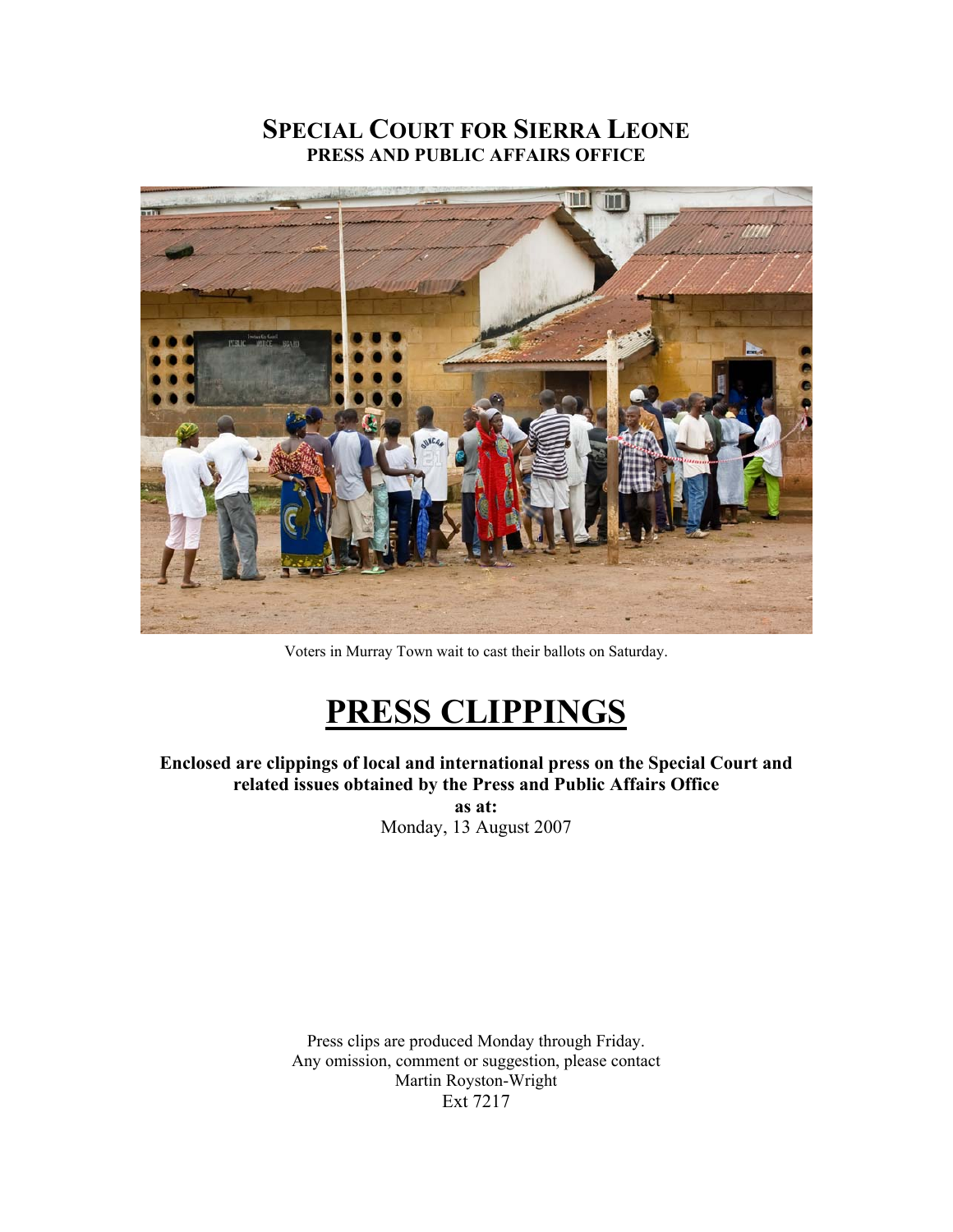## **SPECIAL COURT FOR SIERRA LEONE PRESS AND PUBLIC AFFAIRS OFFICE**



Voters in Murray Town wait to cast their ballots on Saturday.

## **PRESS CLIPPINGS**

**Enclosed are clippings of local and international press on the Special Court and related issues obtained by the Press and Public Affairs Office** 

**as at:**  Monday, 13 August 2007

Press clips are produced Monday through Friday. Any omission, comment or suggestion, please contact Martin Royston-Wright Ext 7217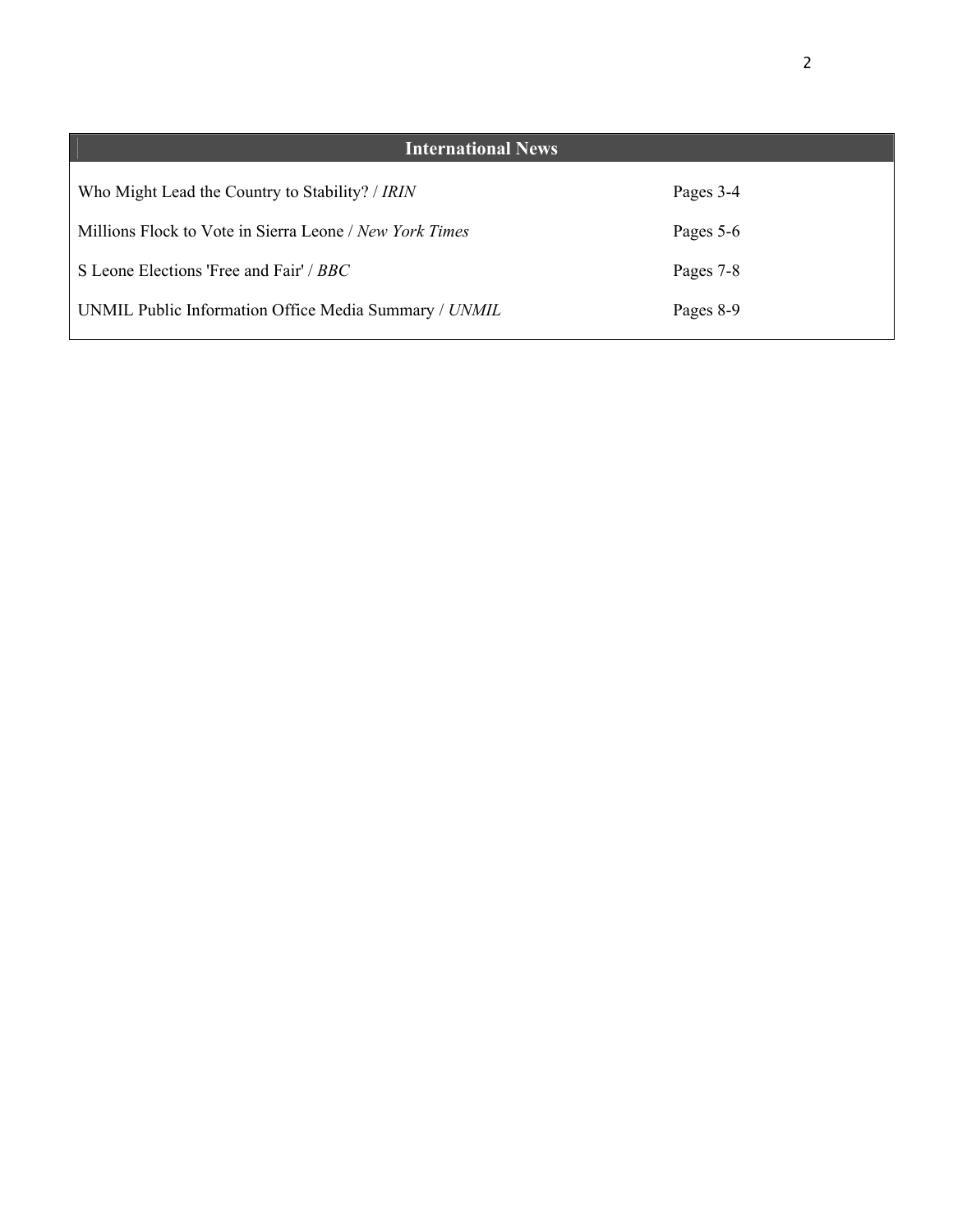| <b>International News</b>                               |           |
|---------------------------------------------------------|-----------|
| Who Might Lead the Country to Stability? / IRIN         | Pages 3-4 |
| Millions Flock to Vote in Sierra Leone / New York Times | Pages 5-6 |
| S Leone Elections 'Free and Fair' / BBC                 | Pages 7-8 |
| UNMIL Public Information Office Media Summary / UNMIL   | Pages 8-9 |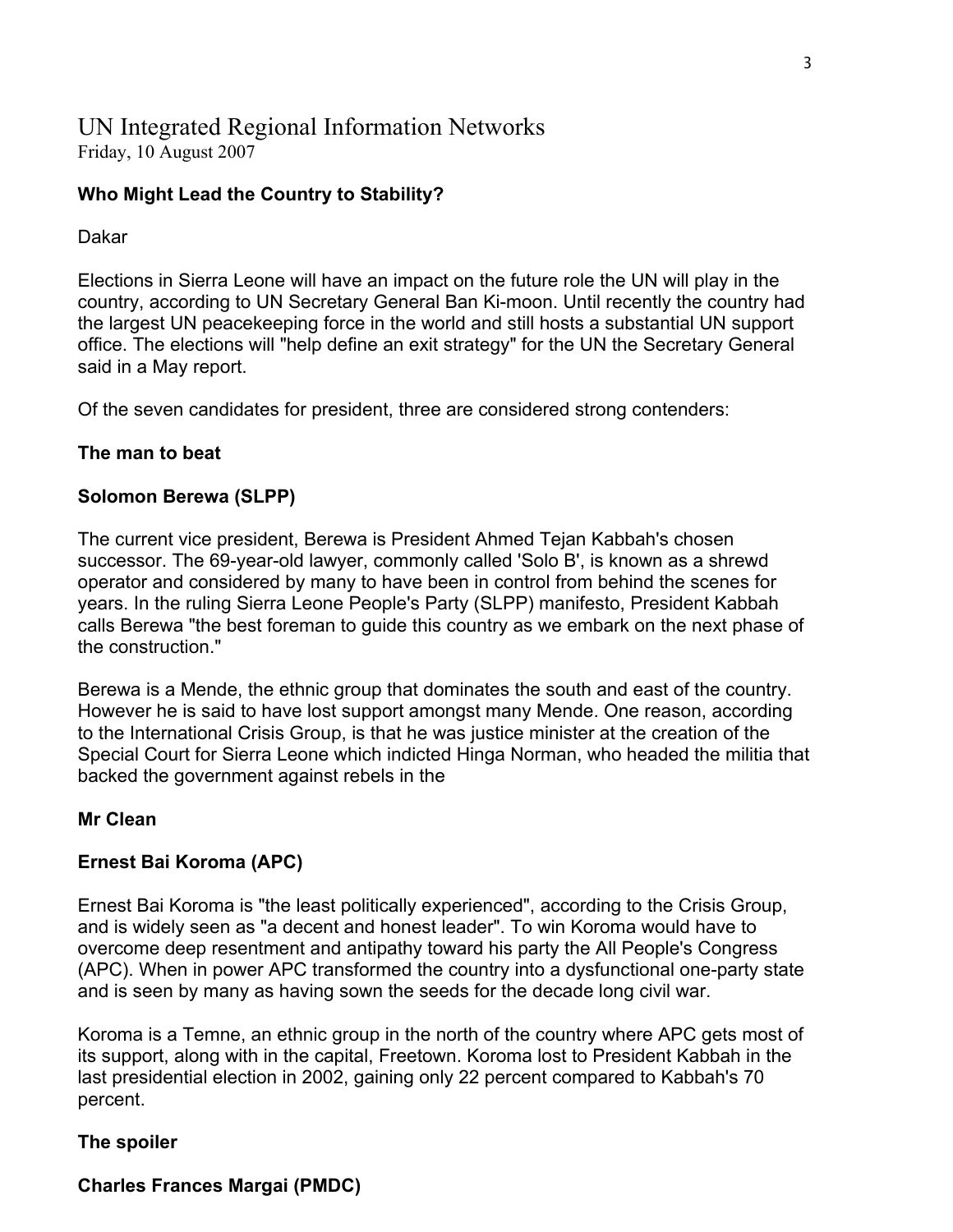## UN Integrated Regional Information Networks Friday, 10 August 2007

## **Who Might Lead the Country to Stability?**

#### Dakar

Elections in Sierra Leone will have an impact on the future role the UN will play in the country, according to UN Secretary General Ban Ki-moon. Until recently the country had the largest UN peacekeeping force in the world and still hosts a substantial UN support office. The elections will "help define an exit strategy" for the UN the Secretary General said in a May report.

Of the seven candidates for president, three are considered strong contenders:

## **The man to beat**

## **Solomon Berewa (SLPP)**

The current vice president, Berewa is President Ahmed Tejan Kabbah's chosen successor. The 69-year-old lawyer, commonly called 'Solo B', is known as a shrewd operator and considered by many to have been in control from behind the scenes for years. In the ruling Sierra Leone People's Party (SLPP) manifesto, President Kabbah calls Berewa "the best foreman to guide this country as we embark on the next phase of the construction."

Berewa is a Mende, the ethnic group that dominates the south and east of the country. However he is said to have lost support amongst many Mende. One reason, according to the International Crisis Group, is that he was justice minister at the creation of the Special Court for Sierra Leone which indicted Hinga Norman, who headed the militia that backed the government against rebels in the

## **Mr Clean**

## **Ernest Bai Koroma (APC)**

Ernest Bai Koroma is "the least politically experienced", according to the Crisis Group, and is widely seen as "a decent and honest leader". To win Koroma would have to overcome deep resentment and antipathy toward his party the All People's Congress (APC). When in power APC transformed the country into a dysfunctional one-party state and is seen by many as having sown the seeds for the decade long civil war.

Koroma is a Temne, an ethnic group in the north of the country where APC gets most of its support, along with in the capital, Freetown. Koroma lost to President Kabbah in the last presidential election in 2002, gaining only 22 percent compared to Kabbah's 70 percent.

## **The spoiler**

## **Charles Frances Margai (PMDC)**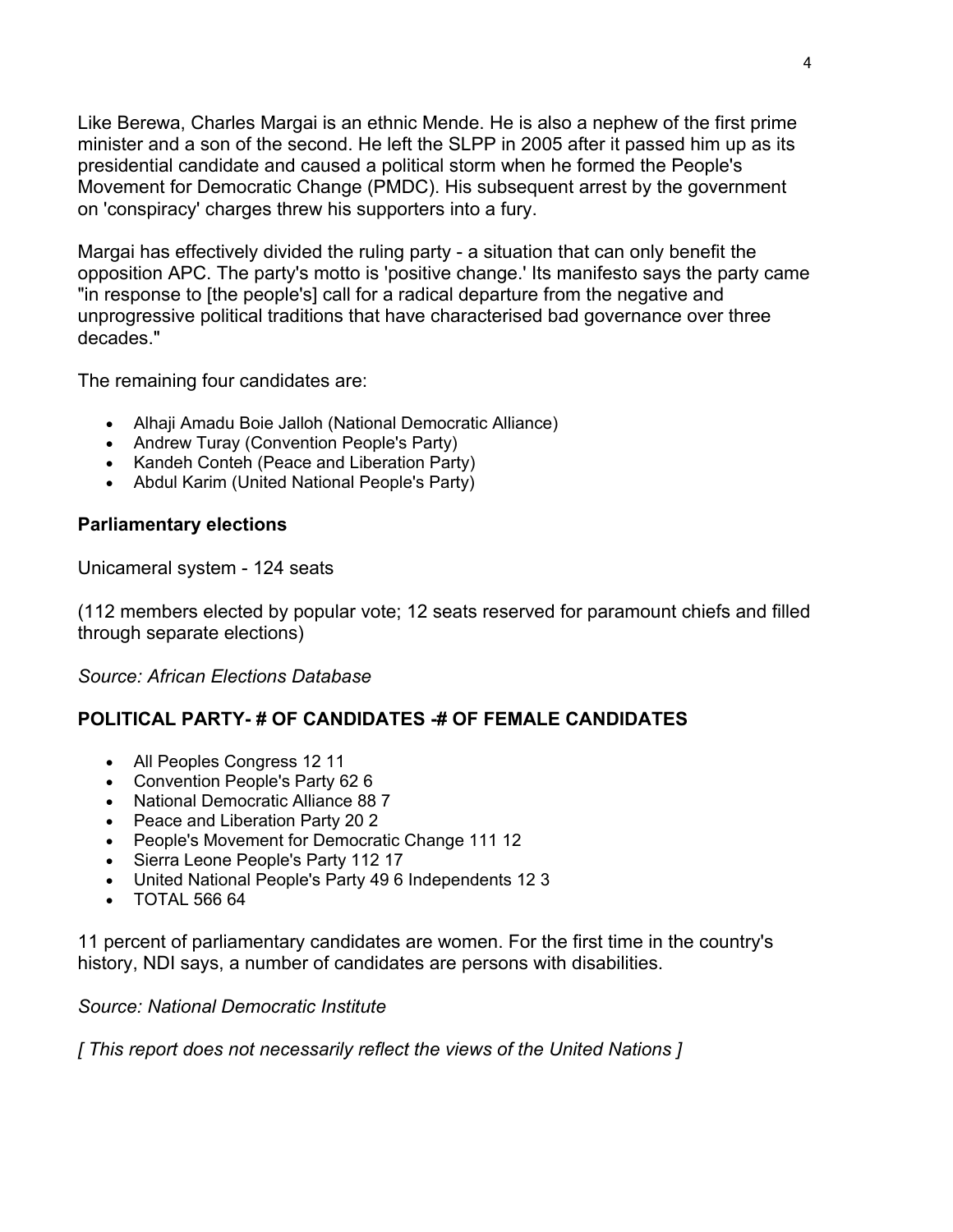Like Berewa, Charles Margai is an ethnic Mende. He is also a nephew of the first prime minister and a son of the second. He left the SLPP in 2005 after it passed him up as its presidential candidate and caused a political storm when he formed the People's Movement for Democratic Change (PMDC). His subsequent arrest by the government on 'conspiracy' charges threw his supporters into a fury.

Margai has effectively divided the ruling party - a situation that can only benefit the opposition APC. The party's motto is 'positive change.' Its manifesto says the party came "in response to [the people's] call for a radical departure from the negative and unprogressive political traditions that have characterised bad governance over three decades."

The remaining four candidates are:

- Alhaji Amadu Boie Jalloh (National Democratic Alliance)
- Andrew Turay (Convention People's Party)
- Kandeh Conteh (Peace and Liberation Party)
- Abdul Karim (United National People's Party)

## **Parliamentary elections**

Unicameral system - 124 seats

(112 members elected by popular vote; 12 seats reserved for paramount chiefs and filled through separate elections)

*Source: African Elections Database*

## **POLITICAL PARTY- # OF CANDIDATES -# OF FEMALE CANDIDATES**

- All Peoples Congress 12 11
- Convention People's Party 62 6
- National Democratic Alliance 88 7
- Peace and Liberation Party 20 2
- People's Movement for Democratic Change 111 12
- Sierra Leone People's Party 112 17
- United National People's Party 49 6 Independents 12 3
- TOTAL 566 64

11 percent of parliamentary candidates are women. For the first time in the country's history, NDI says, a number of candidates are persons with disabilities.

## *Source: National Democratic Institute*

*[ This report does not necessarily reflect the views of the United Nations ]*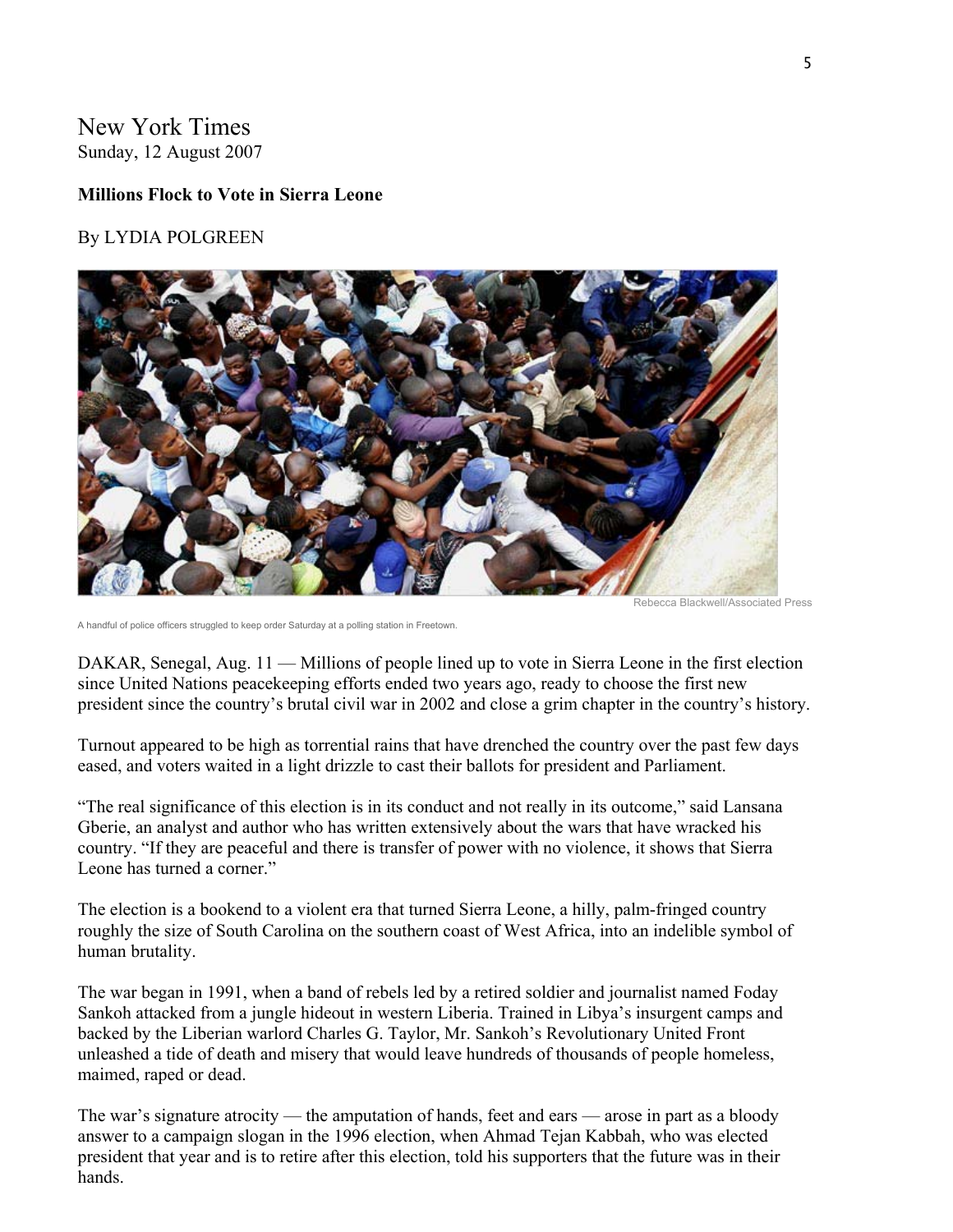## New York Times Sunday, 12 August 2007

#### **Millions Flock to Vote in Sierra Leone**

#### By LYDIA POLGREEN



Rebecca Blackwell/Associated Press

A handful of police officers struggled to keep order Saturday at a polling station in Freetown.

DAKAR, Senegal, Aug. 11 — Millions of people lined up to vote in Sierra Leone in the first election since United Nations peacekeeping efforts ended two years ago, ready to choose the first new president since the country's brutal civil war in 2002 and close a grim chapter in the country's history.

Turnout appeared to be high as torrential rains that have drenched the country over the past few days eased, and voters waited in a light drizzle to cast their ballots for president and Parliament.

"The real significance of this election is in its conduct and not really in its outcome," said Lansana Gberie, an analyst and author who has written extensively about the wars that have wracked his country. "If they are peaceful and there is transfer of power with no violence, it shows that Sierra Leone has turned a corner."

The election is a bookend to a violent era that turned Sierra Leone, a hilly, palm-fringed country roughly the size of South Carolina on the southern coast of West Africa, into an indelible symbol of human brutality.

The war began in 1991, when a band of rebels led by a retired soldier and journalist named Foday Sankoh attacked from a jungle hideout in western Liberia. Trained in Libya's insurgent camps and backed by the Liberian warlord Charles G. Taylor, Mr. Sankoh's Revolutionary United Front unleashed a tide of death and misery that would leave hundreds of thousands of people homeless, maimed, raped or dead.

The war's signature atrocity — the amputation of hands, feet and ears — arose in part as a bloody answer to a campaign slogan in the 1996 election, when Ahmad Tejan Kabbah, who was elected president that year and is to retire after this election, told his supporters that the future was in their hands.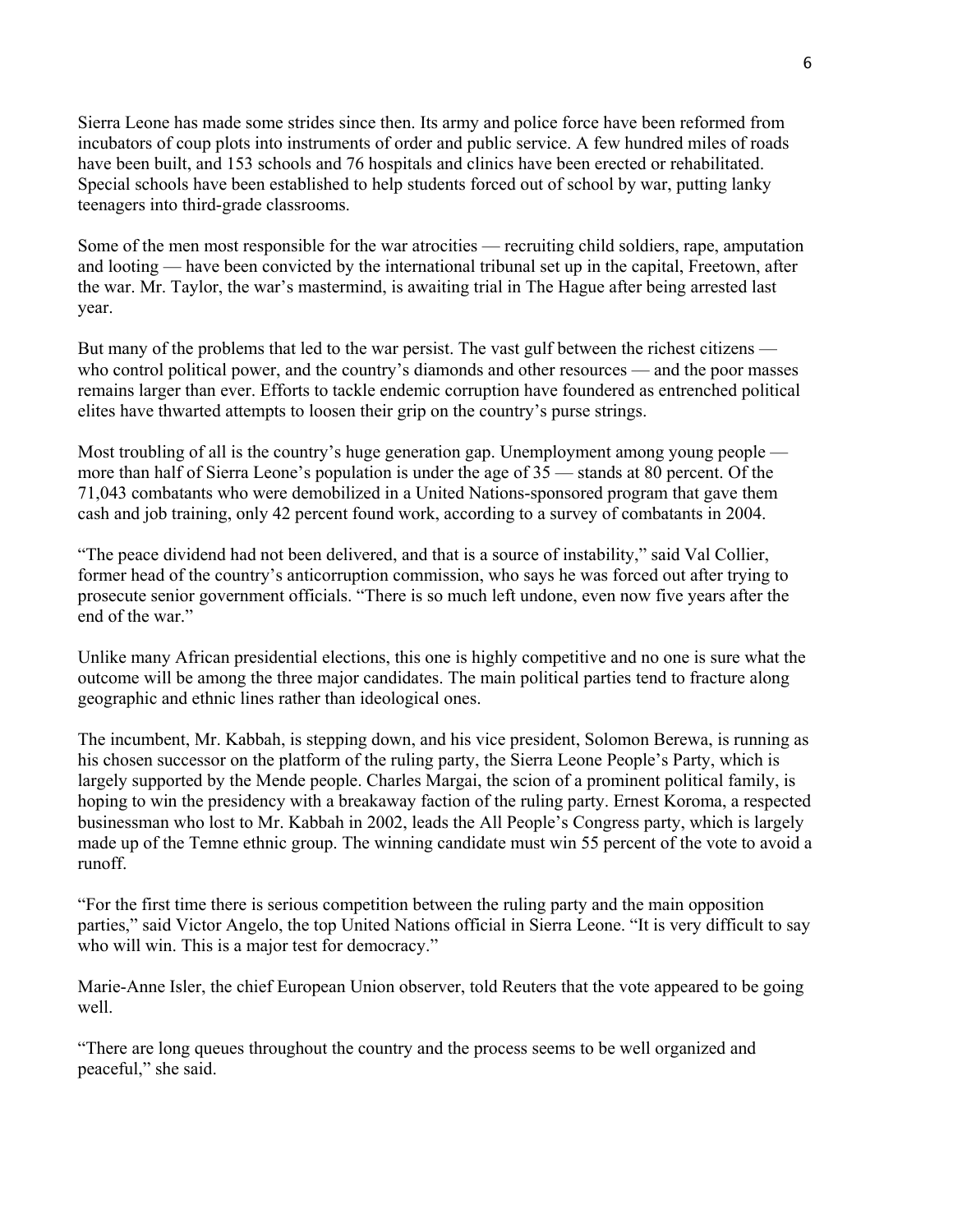Sierra Leone has made some strides since then. Its army and police force have been reformed from incubators of coup plots into instruments of order and public service. A few hundred miles of roads have been built, and 153 schools and 76 hospitals and clinics have been erected or rehabilitated. Special schools have been established to help students forced out of school by war, putting lanky teenagers into third-grade classrooms.

Some of the men most responsible for the war atrocities — recruiting child soldiers, rape, amputation and looting — have been convicted by the international tribunal set up in the capital, Freetown, after the war. Mr. Taylor, the war's mastermind, is awaiting trial in The Hague after being arrested last year.

But many of the problems that led to the war persist. The vast gulf between the richest citizens who control political power, and the country's diamonds and other resources — and the poor masses remains larger than ever. Efforts to tackle endemic corruption have foundered as entrenched political elites have thwarted attempts to loosen their grip on the country's purse strings.

Most troubling of all is the country's huge generation gap. Unemployment among young people more than half of Sierra Leone's population is under the age of 35 — stands at 80 percent. Of the 71,043 combatants who were demobilized in a United Nations-sponsored program that gave them cash and job training, only 42 percent found work, according to a survey of combatants in 2004.

"The peace dividend had not been delivered, and that is a source of instability," said Val Collier, former head of the country's anticorruption commission, who says he was forced out after trying to prosecute senior government officials. "There is so much left undone, even now five years after the end of the war."

Unlike many African presidential elections, this one is highly competitive and no one is sure what the outcome will be among the three major candidates. The main political parties tend to fracture along geographic and ethnic lines rather than ideological ones.

The incumbent, Mr. Kabbah, is stepping down, and his vice president, Solomon Berewa, is running as his chosen successor on the platform of the ruling party, the Sierra Leone People's Party, which is largely supported by the Mende people. Charles Margai, the scion of a prominent political family, is hoping to win the presidency with a breakaway faction of the ruling party. Ernest Koroma, a respected businessman who lost to Mr. Kabbah in 2002, leads the All People's Congress party, which is largely made up of the Temne ethnic group. The winning candidate must win 55 percent of the vote to avoid a runoff.

"For the first time there is serious competition between the ruling party and the main opposition parties," said Victor Angelo, the top United Nations official in Sierra Leone. "It is very difficult to say who will win. This is a major test for democracy."

Marie-Anne Isler, the chief European Union observer, told Reuters that the vote appeared to be going well.

"There are long queues throughout the country and the process seems to be well organized and peaceful," she said.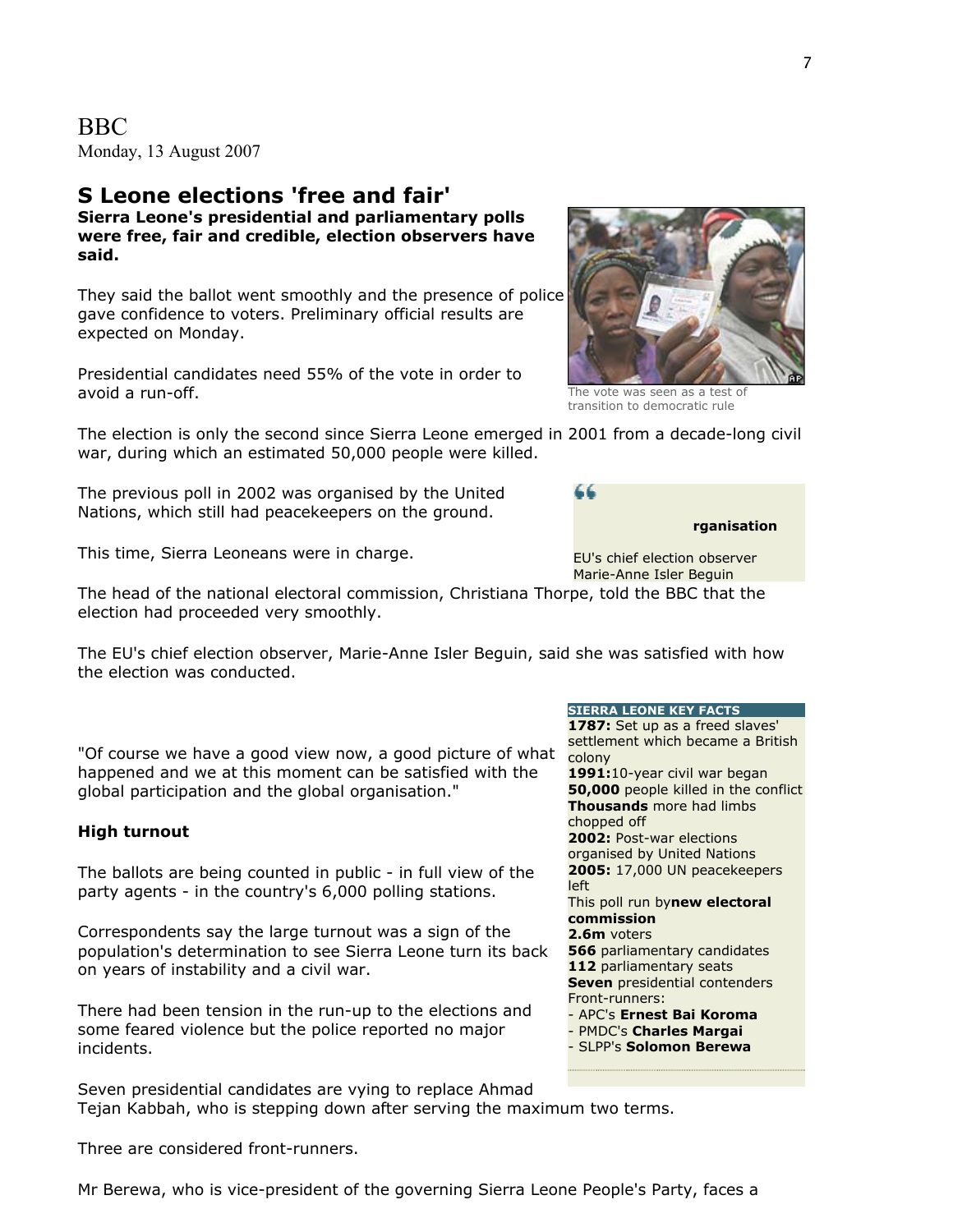BBC Monday, 13 August 2007

#### **S Leone elections 'free and fair' Sierra Leone's presidential and parliamentary polls were free, fair and credible, election observers have said.**

They said the ballot went smoothly and the presence of police gave confidence to voters. Preliminary official results are expected on Monday.

Presidential candidates need 55% of the vote in order to avoid a run-off.

The election is only the second since Sierra Leone emerged in 2001 from a decade-long civil war, during which an estimated 50,000 people were killed.

The previous poll in 2002 was organised by the United Nations, which still had peacekeepers on the ground.

This time, Sierra Leoneans were in charge.

The head of the national electoral commission, Christiana T horpe, told the BBC that the election had proceeded very smoothly.

The EU's chief election observer, Marie-Anne Isler Beguin, said she was satisfied with how the election was conducted.

"Of course we have a good view now, a good picture of what happened and we at this moment can be satisfied with the global participation and the global organisation."

#### **High turnout**

The ballots are being counted in public - in full view of the party agents - in the country's 6,000 polling stations.

Correspondents say the large turnout was a sign of the population's determination to see Sierra Leone turn its back on years of instability and a civil war.

There had been tension in the run-up to the elections and some feared violence but the police reported no major incidents.

Seven presidential candidates are vying to replace Ahmad Tejan Kabbah, who is stepping down after serving the maximum two terms.

Three are considered front-runners.

Mr Berewa, who is vice-president of the governing Sierra Leone People's Party, faces a

#### **SIERRA LEONE KEY FACTS**

**1787:** Set up as a freed slaves' settlement which became a British colony **1991:**10-year civil war began **50,000** people killed in the conflict **Thousands** more had limbs chopped off **2002:** Post-war elections organised by United Nations **2005:** 17,000 UN peacekeepers left This poll run by**new electoral commission 2.6m** voters **566** parliamentary candidates **112** parliamentary seats **Seven** presidential contenders Front-runners: - APC's **Ernest Bai Koroma** - PMDC's **Charles Margai** - SLPP's **Solomon Berewa**

EU's chief election observer Marie-Anne Isler Beguin

**rganisation**



44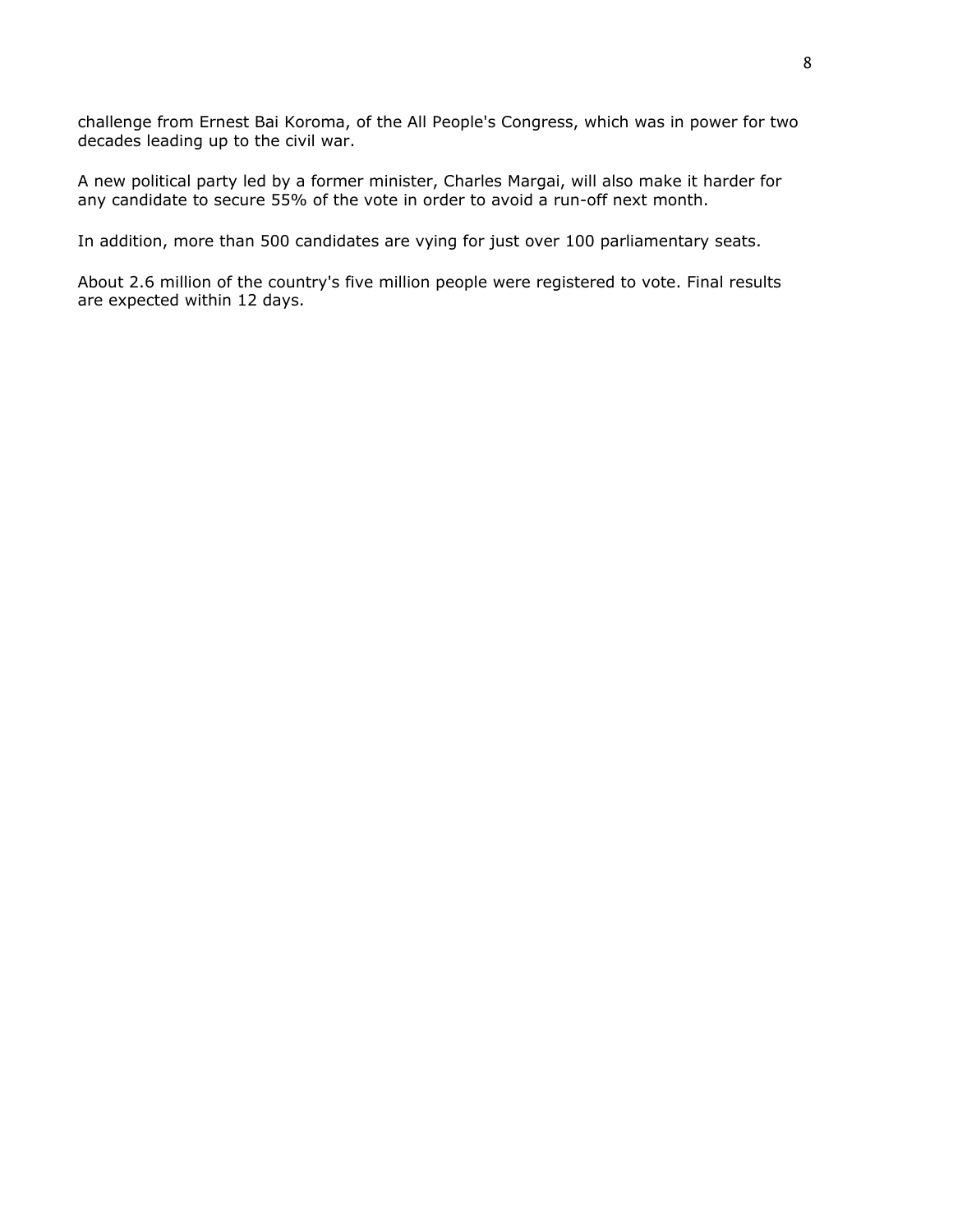challenge from Ernest Bai Koroma, of the All People's Congress, which was in power for two decades leading up to the civil war.

A new political party led by a former minister, Charles Margai, will also make it harder for any candidate to secure 55% of the vote in order to avoid a run-off next month.

In addition, more than 500 candidates are vying for just over 100 parliamentary seats.

About 2.6 million of the country's five million people were registered to vote. Final results are expected within 12 days.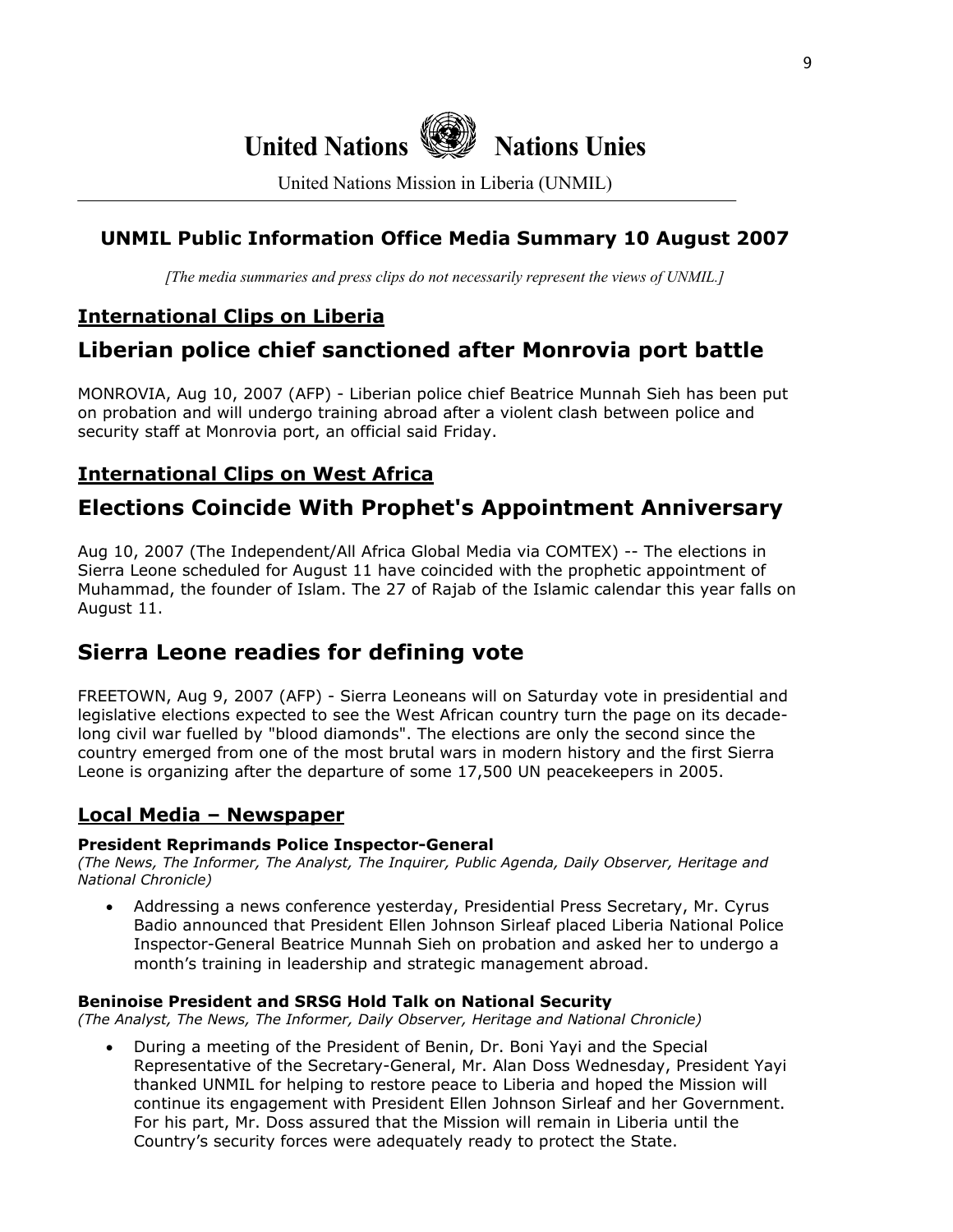# **United Nations Nations Unies**

United Nations Mission in Liberia (UNMIL)

## **UNMIL Public Information Office Media Summary 10 August 2007**

*[The media summaries and press clips do not necessarily represent the views of UNMIL.]*

## **International Clips on Liberia**

## **Liberian police chief sanctioned after Monrovia port battle**

MONROVIA, Aug 10, 2007 (AFP) - Liberian police chief Beatrice Munnah Sieh has been put on probation and will undergo training abroad after a violent clash between police and security staff at Monrovia port, an official said Friday.

## **International Clips on West Africa**

## **Elections Coincide With Prophet's Appointment Anniversary**

Aug 10, 2007 (The Independent/All Africa Global Media via COMTEX) -- The elections in Sierra Leone scheduled for August 11 have coincided with the prophetic appointment of Muhammad, the founder of Islam. The 27 of Rajab of the Islamic calendar this year falls on August 11.

## **Sierra Leone readies for defining vote**

FREETOWN, Aug 9, 2007 (AFP) - Sierra Leoneans will on Saturday vote in presidential and legislative elections expected to see the West African country turn the page on its decadelong civil war fuelled by "blood diamonds". The elections are only the second since the country emerged from one of the most brutal wars in modern history and the first Sierra Leone is organizing after the departure of some 17,500 UN peacekeepers in 2005.

## **Local Media – Newspaper**

## **President Reprimands Police Inspector-General**

*(The News, The Informer, The Analyst, The Inquirer, Public Agenda, Daily Observer, Heritage and National Chronicle)*

• Addressing a news conference yesterday, Presidential Press Secretary, Mr. Cyrus Badio announced that President Ellen Johnson Sirleaf placed Liberia National Police Inspector-General Beatrice Munnah Sieh on probation and asked her to undergo a month's training in leadership and strategic management abroad.

## **Beninoise President and SRSG Hold Talk on National Security**

*(The Analyst, The News, The Informer, Daily Observer, Heritage and National Chronicle)* 

• During a meeting of the President of Benin, Dr. Boni Yayi and the Special Representative of the Secretary-General, Mr. Alan Doss Wednesday, President Yayi thanked UNMIL for helping to restore peace to Liberia and hoped the Mission will continue its engagement with President Ellen Johnson Sirleaf and her Government. For his part, Mr. Doss assured that the Mission will remain in Liberia until the Country's security forces were adequately ready to protect the State.